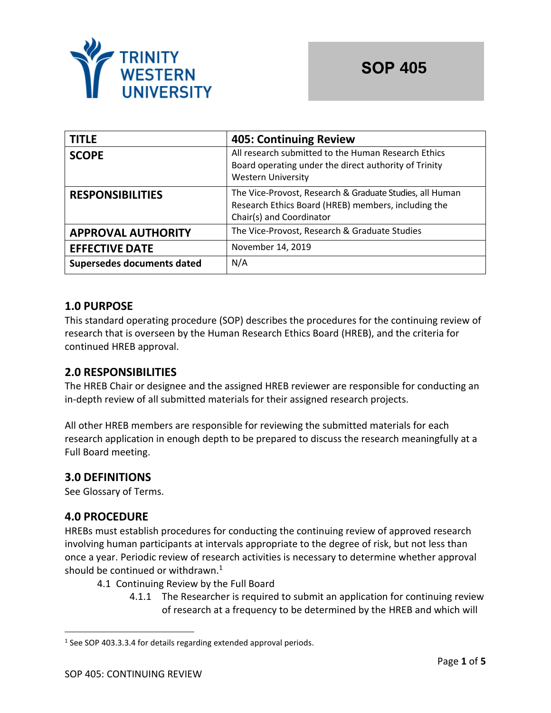

| <b>TITLE</b>               | <b>405: Continuing Review</b>                                                                                                               |
|----------------------------|---------------------------------------------------------------------------------------------------------------------------------------------|
| <b>SCOPE</b>               | All research submitted to the Human Research Ethics<br>Board operating under the direct authority of Trinity<br><b>Western University</b>   |
| <b>RESPONSIBILITIES</b>    | The Vice-Provost, Research & Graduate Studies, all Human<br>Research Ethics Board (HREB) members, including the<br>Chair(s) and Coordinator |
| <b>APPROVAL AUTHORITY</b>  | The Vice-Provost, Research & Graduate Studies                                                                                               |
| <b>EFFECTIVE DATE</b>      | November 14, 2019                                                                                                                           |
| Supersedes documents dated | N/A                                                                                                                                         |

# **1.0 PURPOSE**

This standard operating procedure (SOP) describes the procedures for the continuing review of research that is overseen by the Human Research Ethics Board (HREB), and the criteria for continued HREB approval.

### **2.0 RESPONSIBILITIES**

The HREB Chair or designee and the assigned HREB reviewer are responsible for conducting an in-depth review of all submitted materials for their assigned research projects.

All other HREB members are responsible for reviewing the submitted materials for each research application in enough depth to be prepared to discuss the research meaningfully at a Full Board meeting.

### **3.0 DEFINITIONS**

See Glossary of Terms.

#### **4.0 PROCEDURE**

HREBs must establish procedures for conducting the continuing review of approved research involving human participants at intervals appropriate to the degree of risk, but not less than once a year. Periodic review of research activities is necessary to determine whether approval should be continued or withdrawn. $1$ 

- 4.1 Continuing Review by the Full Board
	- 4.1.1 The Researcher is required to submit an application for continuing review of research at a frequency to be determined by the HREB and which will

 $1$  See SOP 403.3.3.4 for details regarding extended approval periods.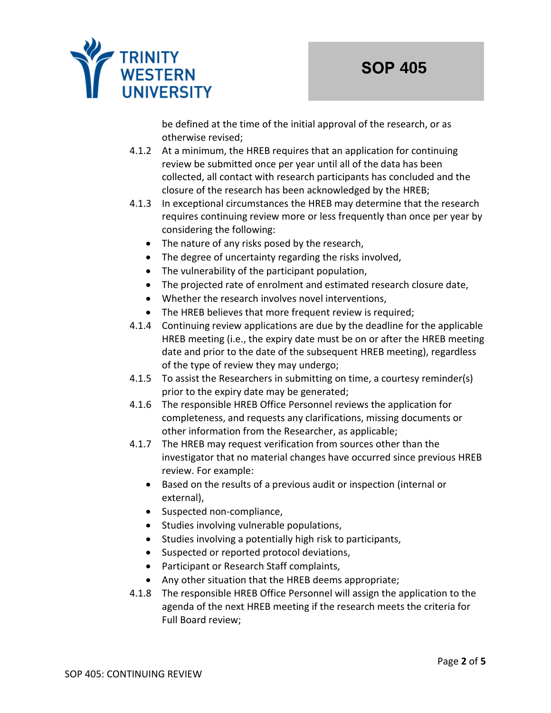

be defined at the time of the initial approval of the research, or as otherwise revised;

- 4.1.2 At a minimum, the HREB requires that an application for continuing review be submitted once per year until all of the data has been collected, all contact with research participants has concluded and the closure of the research has been acknowledged by the HREB;
- 4.1.3 In exceptional circumstances the HREB may determine that the research requires continuing review more or less frequently than once per year by considering the following:
	- The nature of any risks posed by the research,
	- The degree of uncertainty regarding the risks involved,
	- The vulnerability of the participant population,
	- The projected rate of enrolment and estimated research closure date,
	- Whether the research involves novel interventions,
	- The HREB believes that more frequent review is required;
- 4.1.4 Continuing review applications are due by the deadline for the applicable HREB meeting (i.e., the expiry date must be on or after the HREB meeting date and prior to the date of the subsequent HREB meeting), regardless of the type of review they may undergo;
- 4.1.5 To assist the Researchers in submitting on time, a courtesy reminder(s) prior to the expiry date may be generated;
- 4.1.6 The responsible HREB Office Personnel reviews the application for completeness, and requests any clarifications, missing documents or other information from the Researcher, as applicable;
- 4.1.7 The HREB may request verification from sources other than the investigator that no material changes have occurred since previous HREB review. For example:
	- Based on the results of a previous audit or inspection (internal or external),
	- Suspected non-compliance,
	- Studies involving vulnerable populations,
	- Studies involving a potentially high risk to participants,
	- Suspected or reported protocol deviations,
	- Participant or Research Staff complaints,
	- Any other situation that the HREB deems appropriate;
- 4.1.8 The responsible HREB Office Personnel will assign the application to the agenda of the next HREB meeting if the research meets the criteria for Full Board review;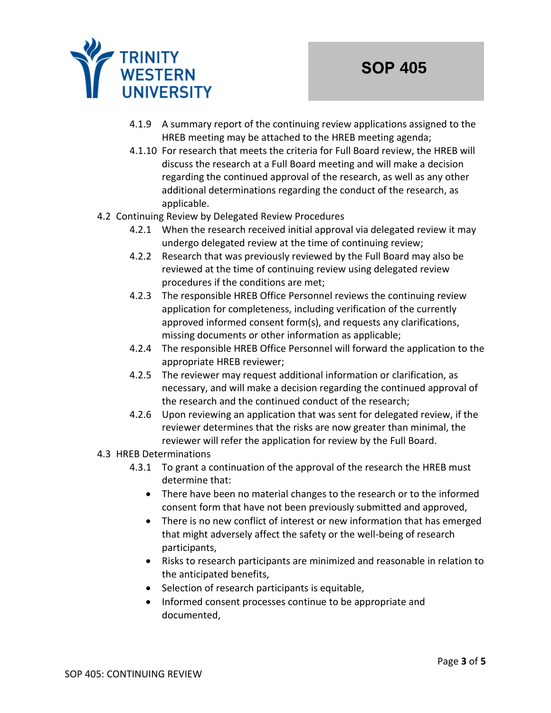

- 4.1.9 A summary report of the continuing review applications assigned to the HREB meeting may be attached to the HREB meeting agenda;
- 4.1.10 For research that meets the criteria for Full Board review, the HREB will discuss the research at a Full Board meeting and will make a decision regarding the continued approval of the research, as well as any other additional determinations regarding the conduct of the research, as applicable.

#### 4.2 Continuing Review by Delegated Review Procedures

- 4.2.1 When the research received initial approval via delegated review it may undergo delegated review at the time of continuing review;
- 4.2.2 Research that was previously reviewed by the Full Board may also be reviewed at the time of continuing review using delegated review procedures if the conditions are met;
- 4.2.3 The responsible HREB Office Personnel reviews the continuing review application for completeness, including verification of the currently approved informed consent form(s), and requests any clarifications, missing documents or other information as applicable;
- 4.2.4 The responsible HREB Office Personnel will forward the application to the appropriate HREB reviewer;
- 4.2.5 The reviewer may request additional information or clarification, as necessary, and will make a decision regarding the continued approval of the research and the continued conduct of the research;
- 4.2.6 Upon reviewing an application that was sent for delegated review, if the reviewer determines that the risks are now greater than minimal, the reviewer will refer the application for review by the Full Board.

#### 4.3 HREB Determinations

- 4.3.1 To grant a continuation of the approval of the research the HREB must determine that:
	- There have been no material changes to the research or to the informed consent form that have not been previously submitted and approved,
	- There is no new conflict of interest or new information that has emerged that might adversely affect the safety or the well-being of research participants,
	- Risks to research participants are minimized and reasonable in relation to the anticipated benefits,
	- Selection of research participants is equitable,
	- Informed consent processes continue to be appropriate and documented,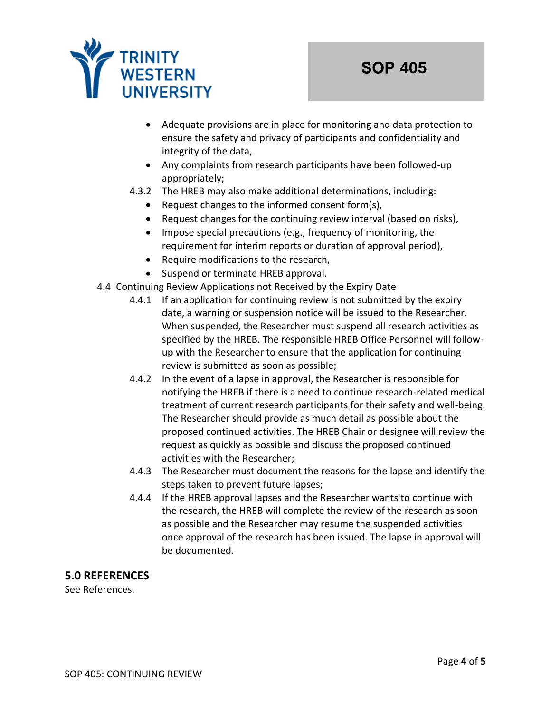

- Adequate provisions are in place for monitoring and data protection to ensure the safety and privacy of participants and confidentiality and integrity of the data,
- Any complaints from research participants have been followed-up appropriately;
- 4.3.2 The HREB may also make additional determinations, including:
	- Request changes to the informed consent form(s),
	- Request changes for the continuing review interval (based on risks),
	- Impose special precautions (e.g., frequency of monitoring, the requirement for interim reports or duration of approval period),
	- Require modifications to the research,
	- Suspend or terminate HREB approval.
- 4.4 Continuing Review Applications not Received by the Expiry Date
	- 4.4.1 If an application for continuing review is not submitted by the expiry date, a warning or suspension notice will be issued to the Researcher. When suspended, the Researcher must suspend all research activities as specified by the HREB. The responsible HREB Office Personnel will followup with the Researcher to ensure that the application for continuing review is submitted as soon as possible;
	- 4.4.2 In the event of a lapse in approval, the Researcher is responsible for notifying the HREB if there is a need to continue research-related medical treatment of current research participants for their safety and well-being. The Researcher should provide as much detail as possible about the proposed continued activities. The HREB Chair or designee will review the request as quickly as possible and discuss the proposed continued activities with the Researcher;
	- 4.4.3 The Researcher must document the reasons for the lapse and identify the steps taken to prevent future lapses;
	- 4.4.4 If the HREB approval lapses and the Researcher wants to continue with the research, the HREB will complete the review of the research as soon as possible and the Researcher may resume the suspended activities once approval of the research has been issued. The lapse in approval will be documented.

### **5.0 REFERENCES**

See References.